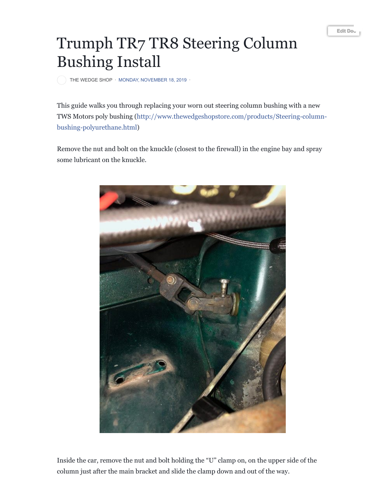## **Edit Doc**

## Trumph TR7 TR8 Steering Column Bushing Install

[THE WEDGE SHOP](https://www.facebook.com/thewedgeshop/) · [MONDAY, NOVEMBER 18, 2019](https://www.facebook.com/notes/the-british-car/trumph-tr7-tr8-steering-column-bushing-install/1449095405246860/) ·

This guide walks you through replacing your worn out steering column bushing with a new [TWS Motors poly bushing \(http://www.thewedgeshopstore.com/products/Steering-column](https://l.facebook.com/l.php?u=http%3A%2F%2Fwww.thewedgeshopstore.com%2Fproducts%2FSteering-column-bushing-polyurethane.html%3Ffbclid%3DIwAR1FpQpUSIZ_BL8IUVBgMVwS2LKNnWWlpHJembQEySc1D1TlhBdMAijKFXI&h=AT28PsT6g6xNFoDLAUBn1l53duSJ-_ic13Lw-RluNV40V8ooWaZ4sr2bXvphscQdd82dfG3T1KvDnJ091_ft-6f9Fa8UDlETxptj3DL9U95s1MbO80t2hlwrRXLvERODsA)bushing-polyurethane.html)

Remove the nut and bolt on the knuckle (closest to the firewall) in the engine bay and spray some lubricant on the knuckle.



Inside the car, remove the nut and bolt holding the "U" clamp on, on the upper side of the column just after the main bracket and slide the clamp down and out of the way.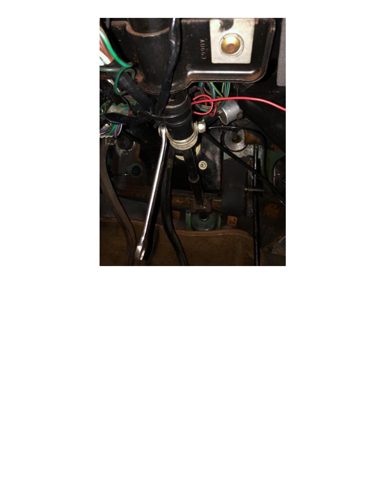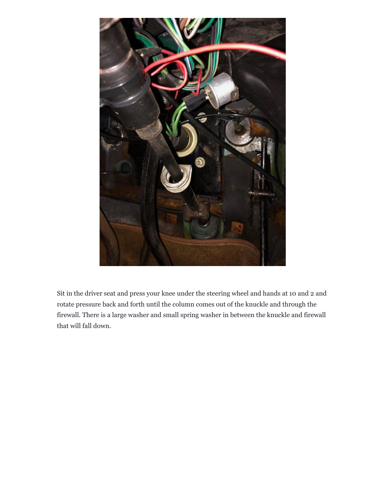

Sit in the driver seat and press your knee under the steering wheel and hands at 10 and 2 and rotate pressure back and forth until the column comes out of the knuckle and through the firewall. There is a large washer and small spring washer in between the knuckle and firewall that will fall down.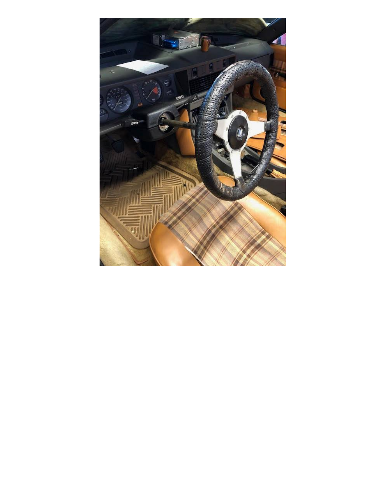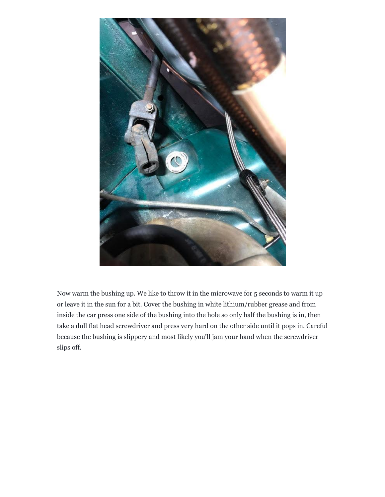

Now warm the bushing up. We like to throw it in the microwave for 5 seconds to warm it up or leave it in the sun for a bit. Cover the bushing in white lithium/rubber grease and from inside the car press one side of the bushing into the hole so only half the bushing is in, then take a dull flat head screwdriver and press very hard on the other side until it pops in. Careful because the bushing is slippery and most likely you'll jam your hand when the screwdriver slips off.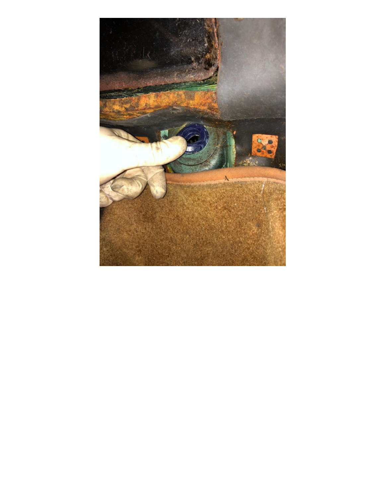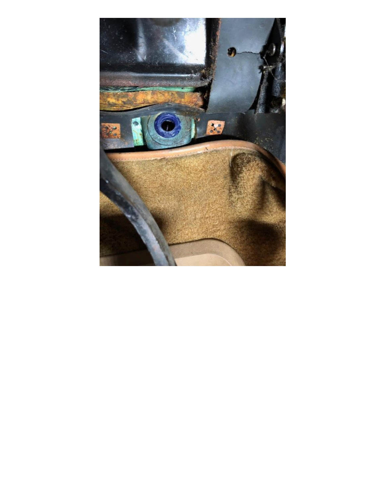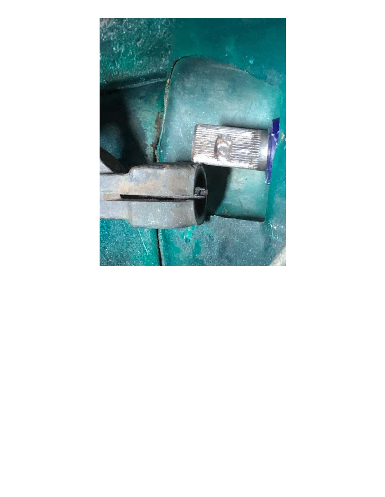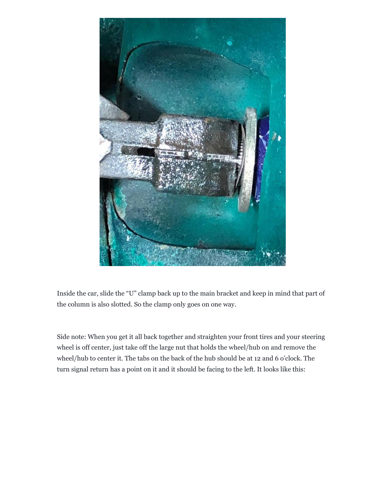

Inside the car, slide the "U" clamp back up to the main bracket and keep in mind that part of the column is also slotted. So the clamp only goes on one way.

Side note: When you get it all back together and straighten your front tires and your steering wheel is off center, just take off the large nut that holds the wheel/hub on and remove the wheel/hub to center it. The tabs on the back of the hub should be at 12 and 6 o'clock. The turn signal return has a point on it and it should be facing to the left. It looks like this: